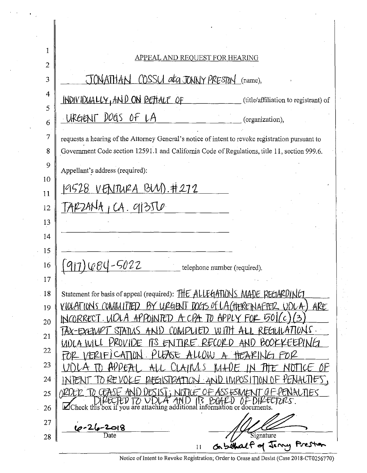| 1              | <u>APPEAL AND REQUEST FOR HEARING</u>                                                                                                                                                            |
|----------------|--------------------------------------------------------------------------------------------------------------------------------------------------------------------------------------------------|
| $\overline{2}$ |                                                                                                                                                                                                  |
| 3              | JONATHAN COSSU at JONNY PRESTON (name),                                                                                                                                                          |
| $\overline{4}$ | INDIVIDUALLY, AND ON BETTALE OF<br>(title/affiliation to registrant) of                                                                                                                          |
| 5<br>6         | URGENT DOGS OF LA<br>(organization),                                                                                                                                                             |
| 7              |                                                                                                                                                                                                  |
| 8              | requests a hearing of the Attorney General's notice of intent to revoke registration pursuant to<br>Government Code section 12591.1 and California Code of Regulations, title 11, section 999.6. |
| 9              |                                                                                                                                                                                                  |
| 10             | Appellant's address (required):                                                                                                                                                                  |
| 11             | <u>19528 VENTURA BUVI.#272</u>                                                                                                                                                                   |
| 12             | $TAP24NH_1CA. q135T0$                                                                                                                                                                            |
| 13             |                                                                                                                                                                                                  |
| 14             |                                                                                                                                                                                                  |
| 15             |                                                                                                                                                                                                  |
| 16             | <u>1664-5022</u><br>telephone number (required).                                                                                                                                                 |
| 17             |                                                                                                                                                                                                  |
| 18             | Statement for basis of appeal (required): THE ALLEGATIONS MADE REGARDING                                                                                                                         |
| 19             | <u>VIOLATIONS COMMITTED BY URGENT DOGS OF LATTERENAFTER</u><br>ARE                                                                                                                               |
| 20             | PAINTED                                                                                                                                                                                          |
| 21             | 7DN S .<br>FUNH<br>بستا                                                                                                                                                                          |
| 22             |                                                                                                                                                                                                  |
| 23             |                                                                                                                                                                                                  |
| 24             |                                                                                                                                                                                                  |
| 25             | l NES                                                                                                                                                                                            |
| 26             | $\Box$ Check this box if you are attaching additional<br>information or documents.                                                                                                               |
| 27             |                                                                                                                                                                                                  |
| 28             | Signature<br>elact of Jany                                                                                                                                                                       |